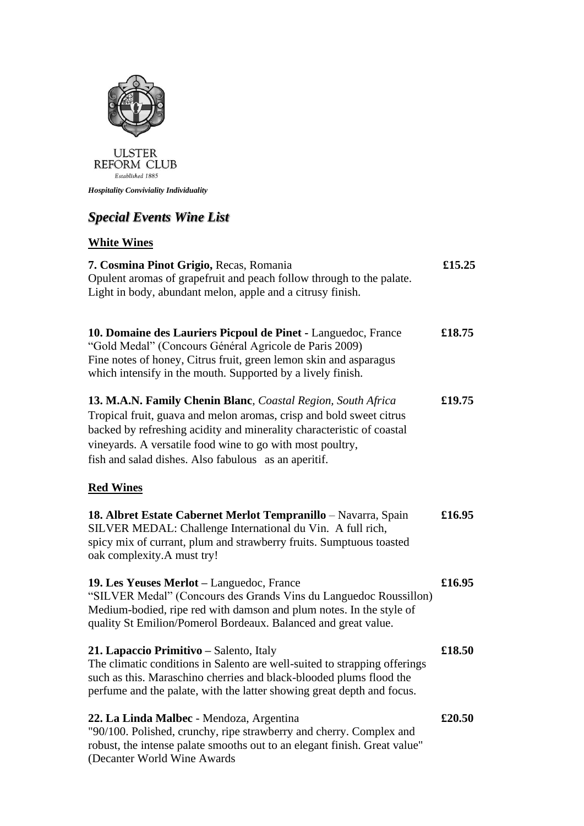

*Hospitality Conviviality Individuality*

## *Special Events Wine List*

## **White Wines**

| 7. Cosmina Pinot Grigio, Recas, Romania<br>Opulent aromas of grapefruit and peach follow through to the palate.<br>Light in body, abundant melon, apple and a citrusy finish.                                                                                                                                                     | £15.25 |
|-----------------------------------------------------------------------------------------------------------------------------------------------------------------------------------------------------------------------------------------------------------------------------------------------------------------------------------|--------|
| 10. Domaine des Lauriers Picpoul de Pinet - Languedoc, France<br>"Gold Medal" (Concours Général Agricole de Paris 2009)<br>Fine notes of honey, Citrus fruit, green lemon skin and asparagus<br>which intensify in the mouth. Supported by a lively finish.                                                                       | £18.75 |
| 13. M.A.N. Family Chenin Blanc, Coastal Region, South Africa<br>Tropical fruit, guava and melon aromas, crisp and bold sweet citrus<br>backed by refreshing acidity and minerality characteristic of coastal<br>vineyards. A versatile food wine to go with most poultry,<br>fish and salad dishes. Also fabulous as an aperitif. | £19.75 |
| <b>Red Wines</b>                                                                                                                                                                                                                                                                                                                  |        |
| 18. Albret Estate Cabernet Merlot Tempranillo - Navarra, Spain<br>SILVER MEDAL: Challenge International du Vin. A full rich,<br>spicy mix of currant, plum and strawberry fruits. Sumptuous toasted<br>oak complexity.A must try!                                                                                                 | £16.95 |
| 19. Les Yeuses Merlot - Languedoc, France<br>"SILVER Medal" (Concours des Grands Vins du Languedoc Roussillon)<br>Medium-bodied, ripe red with damson and plum notes. In the style of<br>quality St Emilion/Pomerol Bordeaux. Balanced and great value.                                                                           | £16.95 |
| 21. Lapaccio Primitivo – Salento, Italy<br>The climatic conditions in Salento are well-suited to strapping offerings<br>such as this. Maraschino cherries and black-blooded plums flood the<br>perfume and the palate, with the latter showing great depth and focus.                                                             | £18.50 |
| 22. La Linda Malbec - Mendoza, Argentina<br>"90/100. Polished, crunchy, ripe strawberry and cherry. Complex and<br>robust, the intense palate smooths out to an elegant finish. Great value"                                                                                                                                      | £20.50 |

(Decanter World Wine Awards